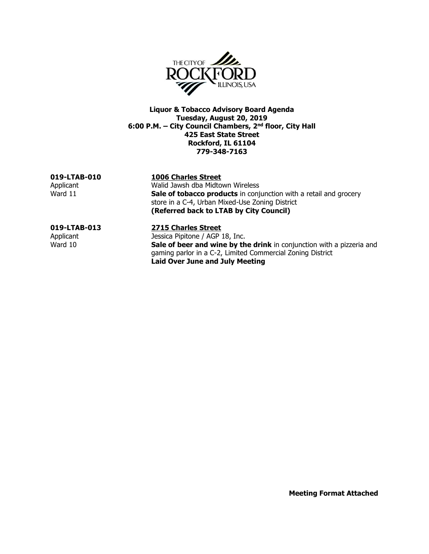

**Liquor & Tobacco Advisory Board Agenda Tuesday, August 20, 2019 6:00 P.M. – City Council Chambers, 2nd floor, City Hall 425 East State Street Rockford, IL 61104 779-348-7163**

**019-LTAB-010 1006 Charles Street**

Applicant Malid Jawsh dba Midtown Wireless<br>
Ward 11 **Sale of tobacco products** in contract Sale of tobacco products in conjunction with a retail and grocery store in a C-4, Urban Mixed-Use Zoning District **(Referred back to LTAB by City Council)**

## **019-LTAB-013 2715 Charles Street**

Applicant Jessica Pipitone / AGP 18, Inc. Ward 10 **Sale of beer and wine by the drink** in conjunction with a pizzeria and gaming parlor in a C-2, Limited Commercial Zoning District **Laid Over June and July Meeting**

**Meeting Format Attached**